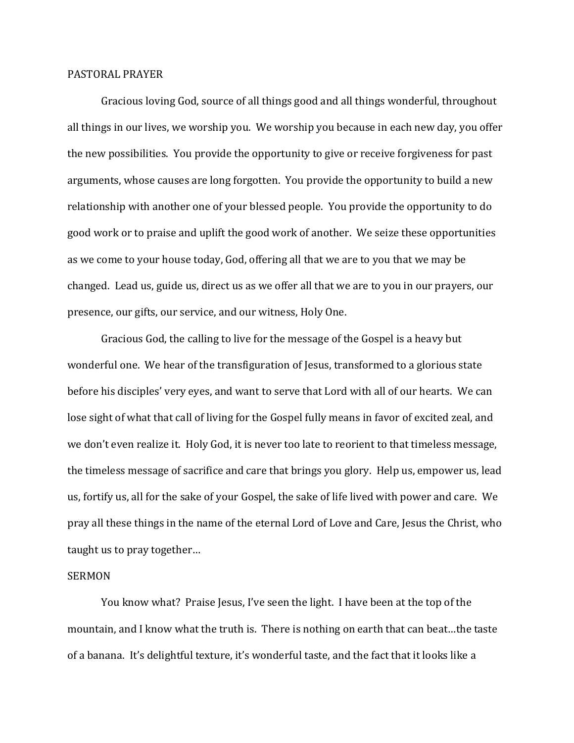## PASTORAL PRAYER

Gracious loving God, source of all things good and all things wonderful, throughout all things in our lives, we worship you. We worship you because in each new day, you offer the new possibilities. You provide the opportunity to give or receive forgiveness for past arguments, whose causes are long forgotten. You provide the opportunity to build a new relationship with another one of your blessed people. You provide the opportunity to do good work or to praise and uplift the good work of another. We seize these opportunities as we come to your house today, God, offering all that we are to you that we may be changed. Lead us, guide us, direct us as we offer all that we are to you in our prayers, our presence, our gifts, our service, and our witness, Holy One.

Gracious God, the calling to live for the message of the Gospel is a heavy but wonderful one. We hear of the transfiguration of Jesus, transformed to a glorious state before his disciples' very eyes, and want to serve that Lord with all of our hearts. We can lose sight of what that call of living for the Gospel fully means in favor of excited zeal, and we don't even realize it. Holy God, it is never too late to reorient to that timeless message, the timeless message of sacrifice and care that brings you glory. Help us, empower us, lead us, fortify us, all for the sake of your Gospel, the sake of life lived with power and care. We pray all these things in the name of the eternal Lord of Love and Care, Jesus the Christ, who taught us to pray together…

## SERMON

You know what? Praise Jesus, I've seen the light. I have been at the top of the mountain, and I know what the truth is. There is nothing on earth that can beat…the taste of a banana. It's delightful texture, it's wonderful taste, and the fact that it looks like a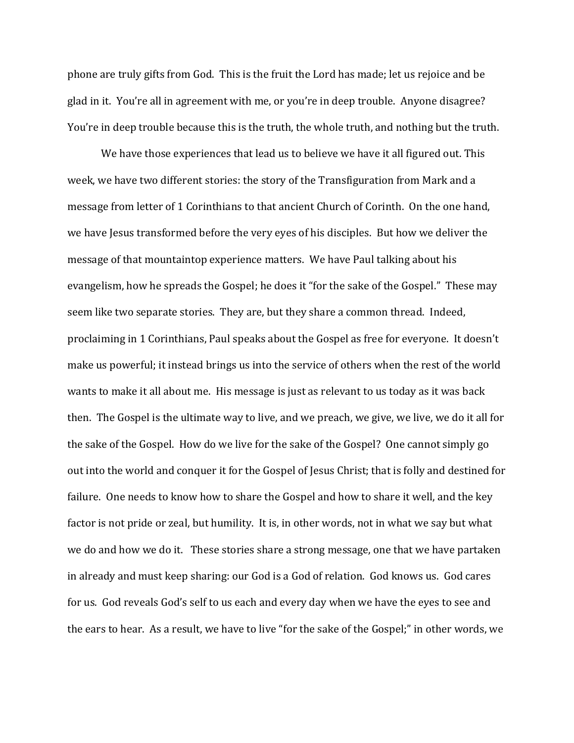phone are truly gifts from God. This is the fruit the Lord has made; let us rejoice and be glad in it. You're all in agreement with me, or you're in deep trouble. Anyone disagree? You're in deep trouble because this is the truth, the whole truth, and nothing but the truth.

We have those experiences that lead us to believe we have it all figured out. This week, we have two different stories: the story of the Transfiguration from Mark and a message from letter of 1 Corinthians to that ancient Church of Corinth. On the one hand, we have Jesus transformed before the very eyes of his disciples. But how we deliver the message of that mountaintop experience matters. We have Paul talking about his evangelism, how he spreads the Gospel; he does it "for the sake of the Gospel." These may seem like two separate stories. They are, but they share a common thread. Indeed, proclaiming in 1 Corinthians, Paul speaks about the Gospel as free for everyone. It doesn't make us powerful; it instead brings us into the service of others when the rest of the world wants to make it all about me. His message is just as relevant to us today as it was back then. The Gospel is the ultimate way to live, and we preach, we give, we live, we do it all for the sake of the Gospel. How do we live for the sake of the Gospel? One cannot simply go out into the world and conquer it for the Gospel of Jesus Christ; that is folly and destined for failure. One needs to know how to share the Gospel and how to share it well, and the key factor is not pride or zeal, but humility. It is, in other words, not in what we say but what we do and how we do it. These stories share a strong message, one that we have partaken in already and must keep sharing: our God is a God of relation. God knows us. God cares for us. God reveals God's self to us each and every day when we have the eyes to see and the ears to hear. As a result, we have to live "for the sake of the Gospel;" in other words, we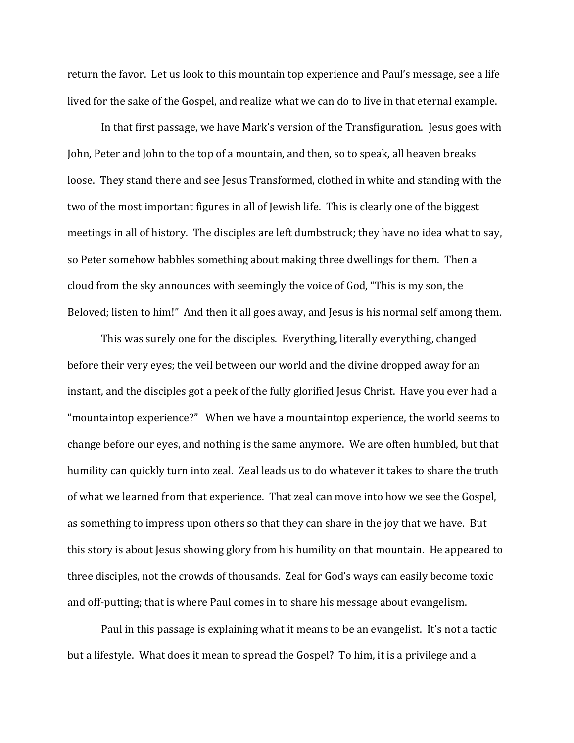return the favor. Let us look to this mountain top experience and Paul's message, see a life lived for the sake of the Gospel, and realize what we can do to live in that eternal example.

In that first passage, we have Mark's version of the Transfiguration. Jesus goes with John, Peter and John to the top of a mountain, and then, so to speak, all heaven breaks loose. They stand there and see Jesus Transformed, clothed in white and standing with the two of the most important figures in all of Jewish life. This is clearly one of the biggest meetings in all of history. The disciples are left dumbstruck; they have no idea what to say, so Peter somehow babbles something about making three dwellings for them. Then a cloud from the sky announces with seemingly the voice of God, "This is my son, the Beloved; listen to him!" And then it all goes away, and Jesus is his normal self among them.

This was surely one for the disciples. Everything, literally everything, changed before their very eyes; the veil between our world and the divine dropped away for an instant, and the disciples got a peek of the fully glorified Jesus Christ. Have you ever had a "mountaintop experience?" When we have a mountaintop experience, the world seems to change before our eyes, and nothing is the same anymore. We are often humbled, but that humility can quickly turn into zeal. Zeal leads us to do whatever it takes to share the truth of what we learned from that experience. That zeal can move into how we see the Gospel, as something to impress upon others so that they can share in the joy that we have. But this story is about Jesus showing glory from his humility on that mountain. He appeared to three disciples, not the crowds of thousands. Zeal for God's ways can easily become toxic and off-putting; that is where Paul comes in to share his message about evangelism.

Paul in this passage is explaining what it means to be an evangelist. It's not a tactic but a lifestyle. What does it mean to spread the Gospel? To him, it is a privilege and a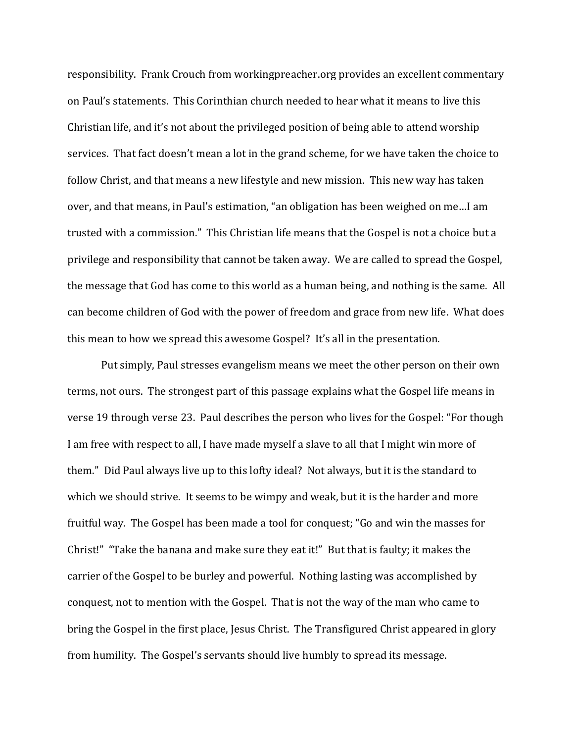responsibility. Frank Crouch from workingpreacher.org provides an excellent commentary on Paul's statements. This Corinthian church needed to hear what it means to live this Christian life, and it's not about the privileged position of being able to attend worship services. That fact doesn't mean a lot in the grand scheme, for we have taken the choice to follow Christ, and that means a new lifestyle and new mission. This new way has taken over, and that means, in Paul's estimation, "an obligation has been weighed on me…I am trusted with a commission." This Christian life means that the Gospel is not a choice but a privilege and responsibility that cannot be taken away. We are called to spread the Gospel, the message that God has come to this world as a human being, and nothing is the same. All can become children of God with the power of freedom and grace from new life. What does this mean to how we spread this awesome Gospel? It's all in the presentation.

Put simply, Paul stresses evangelism means we meet the other person on their own terms, not ours. The strongest part of this passage explains what the Gospel life means in verse 19 through verse 23. Paul describes the person who lives for the Gospel: "For though I am free with respect to all, I have made myself a slave to all that I might win more of them." Did Paul always live up to this lofty ideal? Not always, but it is the standard to which we should strive. It seems to be wimpy and weak, but it is the harder and more fruitful way. The Gospel has been made a tool for conquest; "Go and win the masses for Christ!" "Take the banana and make sure they eat it!" But that is faulty; it makes the carrier of the Gospel to be burley and powerful. Nothing lasting was accomplished by conquest, not to mention with the Gospel. That is not the way of the man who came to bring the Gospel in the first place, Jesus Christ. The Transfigured Christ appeared in glory from humility. The Gospel's servants should live humbly to spread its message.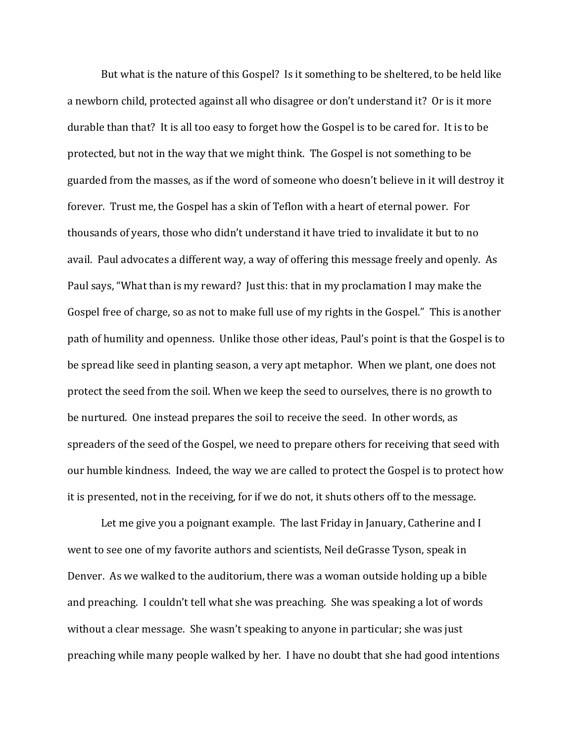But what is the nature of this Gospel? Is it something to be sheltered, to be held like a newborn child, protected against all who disagree or don't understand it? Or is it more durable than that? It is all too easy to forget how the Gospel is to be cared for. It is to be protected, but not in the way that we might think. The Gospel is not something to be guarded from the masses, as if the word of someone who doesn't believe in it will destroy it forever. Trust me, the Gospel has a skin of Teflon with a heart of eternal power. For thousands of years, those who didn't understand it have tried to invalidate it but to no avail. Paul advocates a different way, a way of offering this message freely and openly. As Paul says, "What than is my reward? Just this: that in my proclamation I may make the Gospel free of charge, so as not to make full use of my rights in the Gospel." This is another path of humility and openness. Unlike those other ideas, Paul's point is that the Gospel is to be spread like seed in planting season, a very apt metaphor. When we plant, one does not protect the seed from the soil. When we keep the seed to ourselves, there is no growth to be nurtured. One instead prepares the soil to receive the seed. In other words, as spreaders of the seed of the Gospel, we need to prepare others for receiving that seed with our humble kindness. Indeed, the way we are called to protect the Gospel is to protect how it is presented, not in the receiving, for if we do not, it shuts others off to the message.

Let me give you a poignant example. The last Friday in January, Catherine and I went to see one of my favorite authors and scientists, Neil deGrasse Tyson, speak in Denver. As we walked to the auditorium, there was a woman outside holding up a bible and preaching. I couldn't tell what she was preaching. She was speaking a lot of words without a clear message. She wasn't speaking to anyone in particular; she was just preaching while many people walked by her. I have no doubt that she had good intentions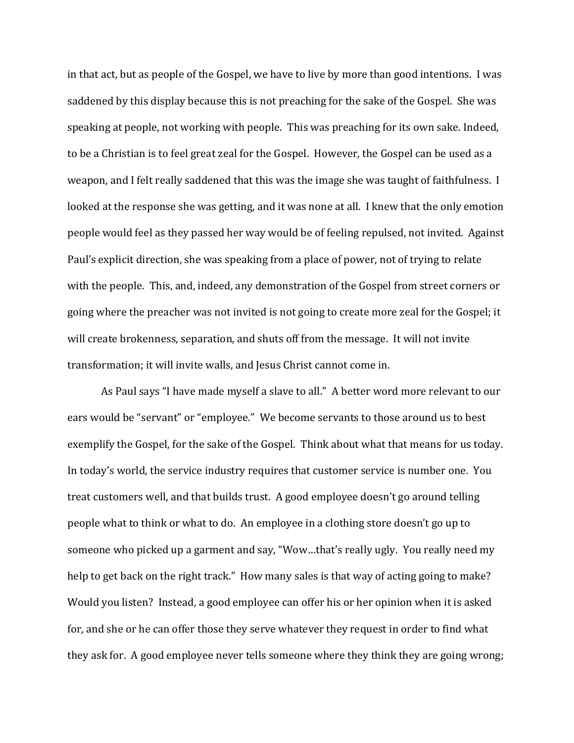in that act, but as people of the Gospel, we have to live by more than good intentions. I was saddened by this display because this is not preaching for the sake of the Gospel. She was speaking at people, not working with people. This was preaching for its own sake. Indeed, to be a Christian is to feel great zeal for the Gospel. However, the Gospel can be used as a weapon, and I felt really saddened that this was the image she was taught of faithfulness. I looked at the response she was getting, and it was none at all. I knew that the only emotion people would feel as they passed her way would be of feeling repulsed, not invited. Against Paul's explicit direction, she was speaking from a place of power, not of trying to relate with the people. This, and, indeed, any demonstration of the Gospel from street corners or going where the preacher was not invited is not going to create more zeal for the Gospel; it will create brokenness, separation, and shuts off from the message. It will not invite transformation; it will invite walls, and Jesus Christ cannot come in.

As Paul says "I have made myself a slave to all." A better word more relevant to our ears would be "servant" or "employee." We become servants to those around us to best exemplify the Gospel, for the sake of the Gospel. Think about what that means for us today. In today's world, the service industry requires that customer service is number one. You treat customers well, and that builds trust. A good employee doesn't go around telling people what to think or what to do. An employee in a clothing store doesn't go up to someone who picked up a garment and say, "Wow…that's really ugly. You really need my help to get back on the right track." How many sales is that way of acting going to make? Would you listen? Instead, a good employee can offer his or her opinion when it is asked for, and she or he can offer those they serve whatever they request in order to find what they ask for. A good employee never tells someone where they think they are going wrong;